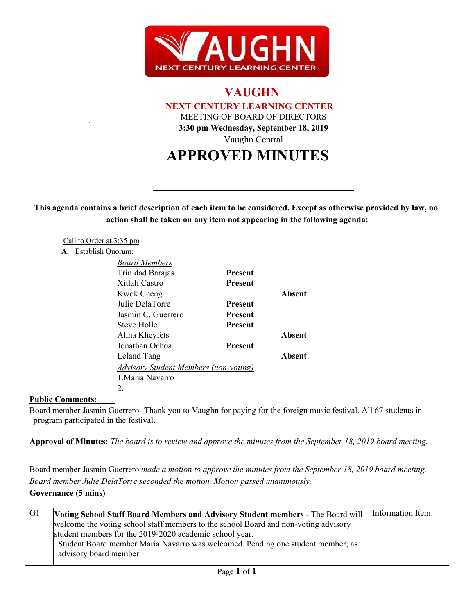



**This agenda contains a brief description of each item to be considered. Except as otherwise provided by law, no action shall be taken on any item not appearing in the following agenda:**

|    | Call to Order at 3:35 pm                     |                |        |  |
|----|----------------------------------------------|----------------|--------|--|
| А. | Establish Quorum:                            |                |        |  |
|    | <b>Board Members</b>                         |                |        |  |
|    | Trinidad Barajas                             | <b>Present</b> |        |  |
|    | Xitlali Castro                               | <b>Present</b> |        |  |
|    | <b>Kwok Cheng</b>                            |                | Absent |  |
|    | Julie DelaTorre                              | <b>Present</b> |        |  |
|    | Jasmin C. Guerrero                           | <b>Present</b> |        |  |
|    | Steve Holle                                  | <b>Present</b> |        |  |
|    | Alina Kheyfets                               |                | Absent |  |
|    | Jonathan Ochoa                               | <b>Present</b> |        |  |
|    | Leland Tang                                  |                | Absent |  |
|    | <b>Advisory Student Members (non-voting)</b> |                |        |  |
|    | 1. Maria Navarro                             |                |        |  |
|    | 2.                                           |                |        |  |

### **Public Comments:**

 $\sqrt{2}$ 

Board member Jasmin Guerrero- Thank you to Vaughn for paying for the foreign music festival. All 67 students in program participated in the festival.

**Approval of Minutes:** *The board is to review and approve the minutes from the September 18, 2019 board meeting.*

Board member Jasmin Guerrero *made a motion to approve the minutes from the September 18, 2019 board meeting. Board member Julie DelaTorre seconded the motion. Motion passed unanimously.* 

## **Governance (5 mins)**

| $\mid$ G1 | <b>Voting School Staff Board Members and Advisory Student members - The Board will</b> | Information Item |  |
|-----------|----------------------------------------------------------------------------------------|------------------|--|
|           | welcome the voting school staff members to the school Board and non-voting advisory    |                  |  |
|           | student members for the 2019-2020 academic school year.                                |                  |  |
|           | Student Board member Maria Navarro was welcomed. Pending one student member; as        |                  |  |
|           | advisory board member.                                                                 |                  |  |
|           |                                                                                        |                  |  |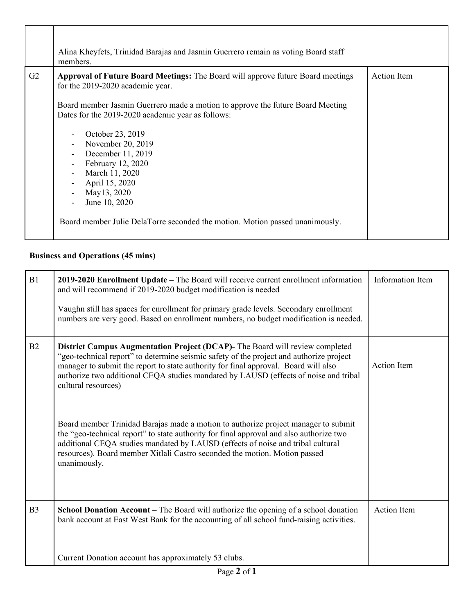|                | Alina Kheyfets, Trinidad Barajas and Jasmin Guerrero remain as voting Board staff<br>members.                                                                                                                                                                                                                                                                                                                                                                                                                                                                            |             |
|----------------|--------------------------------------------------------------------------------------------------------------------------------------------------------------------------------------------------------------------------------------------------------------------------------------------------------------------------------------------------------------------------------------------------------------------------------------------------------------------------------------------------------------------------------------------------------------------------|-------------|
| G <sub>2</sub> | <b>Approval of Future Board Meetings:</b> The Board will approve future Board meetings<br>for the 2019-2020 academic year.<br>Board member Jasmin Guerrero made a motion to approve the future Board Meeting<br>Dates for the 2019-2020 academic year as follows:<br>October 23, 2019<br>November 20, 2019<br>December 11, 2019<br>$\overline{\phantom{a}}$<br>February 12, 2020<br>March 11, 2020<br>$\blacksquare$<br>April 15, 2020<br>$\blacksquare$<br>May13, 2020<br>June 10, 2020<br>Board member Julie DelaTorre seconded the motion. Motion passed unanimously. | Action Item |

# **Business and Operations (45 mins)**

| B1             | 2019-2020 Enrollment Update - The Board will receive current enrollment information<br>and will recommend if 2019-2020 budget modification is needed<br>Vaughn still has spaces for enrollment for primary grade levels. Secondary enrollment<br>numbers are very good. Based on enrollment numbers, no budget modification is needed.                                               | Information Item   |  |
|----------------|--------------------------------------------------------------------------------------------------------------------------------------------------------------------------------------------------------------------------------------------------------------------------------------------------------------------------------------------------------------------------------------|--------------------|--|
| B2             | <b>District Campus Augmentation Project (DCAP)-</b> The Board will review completed<br>"geo-technical report" to determine seismic safety of the project and authorize project<br>manager to submit the report to state authority for final approval. Board will also<br>authorize two additional CEQA studies mandated by LAUSD (effects of noise and tribal<br>cultural resources) | <b>Action Item</b> |  |
|                | Board member Trinidad Barajas made a motion to authorize project manager to submit<br>the "geo-technical report" to state authority for final approval and also authorize two<br>additional CEQA studies mandated by LAUSD (effects of noise and tribal cultural<br>resources). Board member Xitlali Castro seconded the motion. Motion passed<br>unanimously.                       |                    |  |
| B <sub>3</sub> | School Donation Account - The Board will authorize the opening of a school donation<br>bank account at East West Bank for the accounting of all school fund-raising activities.                                                                                                                                                                                                      | <b>Action Item</b> |  |
|                | Current Donation account has approximately 53 clubs.                                                                                                                                                                                                                                                                                                                                 |                    |  |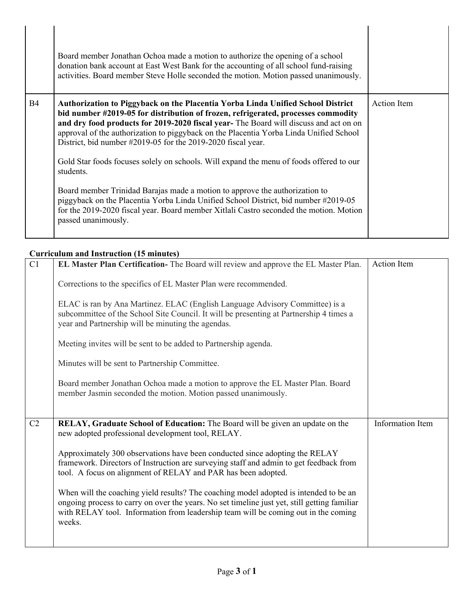|           | Board member Jonathan Ochoa made a motion to authorize the opening of a school<br>donation bank account at East West Bank for the accounting of all school fund-raising<br>activities. Board member Steve Holle seconded the motion. Motion passed unanimously.                                                                                                                                                                |                    |  |
|-----------|--------------------------------------------------------------------------------------------------------------------------------------------------------------------------------------------------------------------------------------------------------------------------------------------------------------------------------------------------------------------------------------------------------------------------------|--------------------|--|
| <b>B4</b> | <b>Authorization to Piggyback on the Placentia Yorba Linda Unified School District</b><br>bid number #2019-05 for distribution of frozen, refrigerated, processes commodity<br>and dry food products for 2019-2020 fiscal year- The Board will discuss and act on on<br>approval of the authorization to piggyback on the Placentia Yorba Linda Unified School<br>District, bid number #2019-05 for the 2019-2020 fiscal year. | <b>Action</b> Item |  |
|           | Gold Star foods focuses solely on schools. Will expand the menu of foods offered to our<br>students.                                                                                                                                                                                                                                                                                                                           |                    |  |
|           | Board member Trinidad Barajas made a motion to approve the authorization to<br>piggyback on the Placentia Yorba Linda Unified School District, bid number #2019-05<br>for the 2019-2020 fiscal year. Board member Xitlali Castro seconded the motion. Motion<br>passed unanimously.                                                                                                                                            |                    |  |
|           |                                                                                                                                                                                                                                                                                                                                                                                                                                |                    |  |

## **Curriculum and Instruction (15 minutes)**

| C1             | EL Master Plan Certification- The Board will review and approve the EL Master Plan.                                                                                                                                                                                                   | Action Item             |
|----------------|---------------------------------------------------------------------------------------------------------------------------------------------------------------------------------------------------------------------------------------------------------------------------------------|-------------------------|
|                | Corrections to the specifics of EL Master Plan were recommended.                                                                                                                                                                                                                      |                         |
|                | ELAC is ran by Ana Martinez. ELAC (English Language Advisory Committee) is a<br>subcommittee of the School Site Council. It will be presenting at Partnership 4 times a<br>year and Partnership will be minuting the agendas.                                                         |                         |
|                | Meeting invites will be sent to be added to Partnership agenda.                                                                                                                                                                                                                       |                         |
|                | Minutes will be sent to Partnership Committee.                                                                                                                                                                                                                                        |                         |
|                | Board member Jonathan Ochoa made a motion to approve the EL Master Plan. Board<br>member Jasmin seconded the motion. Motion passed unanimously.                                                                                                                                       |                         |
| C <sub>2</sub> | RELAY, Graduate School of Education: The Board will be given an update on the<br>new adopted professional development tool, RELAY.                                                                                                                                                    | <b>Information Item</b> |
|                | Approximately 300 observations have been conducted since adopting the RELAY<br>framework. Directors of Instruction are surveying staff and admin to get feedback from<br>tool. A focus on alignment of RELAY and PAR has been adopted.                                                |                         |
|                | When will the coaching yield results? The coaching model adopted is intended to be an<br>ongoing process to carry on over the years. No set timeline just yet, still getting familiar<br>with RELAY tool. Information from leadership team will be coming out in the coming<br>weeks. |                         |
|                |                                                                                                                                                                                                                                                                                       |                         |